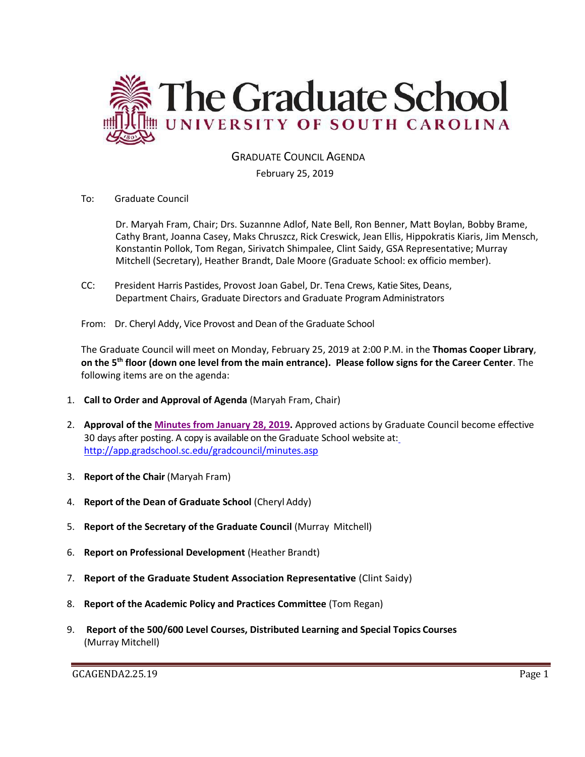

GRADUATE COUNCIL AGENDA

# February 25, 2019

To: Graduate Council

Dr. Maryah Fram, Chair; Drs. Suzannne Adlof, Nate Bell, Ron Benner, Matt Boylan, Bobby Brame, Cathy Brant, Joanna Casey, Maks Chruszcz, Rick Creswick, Jean Ellis, Hippokratis Kiaris, Jim Mensch, Konstantin Pollok, Tom Regan, Sirivatch Shimpalee, Clint Saidy, GSA Representative; Murray Mitchell (Secretary), Heather Brandt, Dale Moore (Graduate School: ex officio member).

- CC: President Harris Pastides, Provost Joan Gabel, Dr. Tena Crews, Katie Sites, Deans, Department Chairs, Graduate Directors and Graduate Program Administrators
- From: Dr. Cheryl Addy, Vice Provost and Dean of the Graduate School

The Graduate Council will meet on Monday, February 25, 2019 at 2:00 P.M. in the **Thomas Cooper Library**, **on the 5th floor (down one level from the main entrance). Please follow signs for the Career Center**. The following items are on the agenda:

- 1. **Call to Order and Approval of Agenda** (Maryah Fram, Chair)
- 2. **Approval of the [Minutes from January 28, 2019.](GCMINJAN282019w5attach.pdf)** Approved actions by Graduate Council become effective 30 days after posting. A copy is available on the Graduate School website at[:](http://app.gradschool.sc.edu/gradcouncil/minutes.asp) <http://app.gradschool.sc.edu/gradcouncil/minutes.asp>
- 3. **Report of the Chair** (Maryah Fram)
- 4. **Report of the Dean of Graduate School** (Cheryl Addy)
- 5. **Report of the Secretary of the Graduate Council** (Murray Mitchell)
- 6. **Report on Professional Development** (Heather Brandt)
- 7. **Report of the Graduate Student Association Representative** (Clint Saidy)
- 8. **Report of the Academic Policy and Practices Committee** (Tom Regan)
- 9. **Report of the 500/600 Level Courses, Distributed Learning and Special Topics Courses** (Murray Mitchell)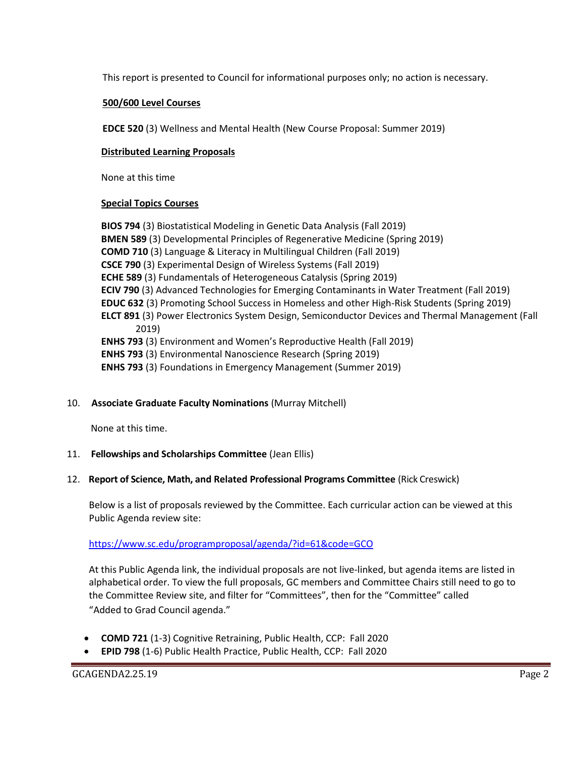This report is presented to Council for informational purposes only; no action is necessary.

#### **500/600 Level Courses**

**EDCE 520** (3) Wellness and Mental Health (New Course Proposal: Summer 2019)

#### **Distributed Learning Proposals**

None at this time

#### **Special Topics Courses**

**BIOS 794** (3) Biostatistical Modeling in Genetic Data Analysis (Fall 2019) **BMEN 589** (3) Developmental Principles of Regenerative Medicine (Spring 2019) **COMD 710** (3) Language & Literacy in Multilingual Children (Fall 2019) **CSCE 790** (3) Experimental Design of Wireless Systems (Fall 2019) **ECHE 589** (3) Fundamentals of Heterogeneous Catalysis (Spring 2019) **ECIV 790** (3) Advanced Technologies for Emerging Contaminants in Water Treatment (Fall 2019) **EDUC 632** (3) Promoting School Success in Homeless and other High-Risk Students (Spring 2019) **ELCT 891** (3) Power Electronics System Design, Semiconductor Devices and Thermal Management (Fall 2019) **ENHS 793** (3) Environment and Women's Reproductive Health (Fall 2019) **ENHS 793** (3) Environmental Nanoscience Research (Spring 2019) **ENHS 793** (3) Foundations in Emergency Management (Summer 2019)

# 10. **Associate Graduate Faculty Nominations** (Murray Mitchell)

None at this time.

# 11. **Fellowships and Scholarships Committee** (Jean Ellis)

#### 12. **Report of Science, Math, and Related Professional Programs Committee** (Rick Creswick)

Below is a list of proposals reviewed by the Committee. Each curricular action can be viewed at this Public Agenda review site:

# <https://www.sc.edu/programproposal/agenda/?id=61&code=GCO>

At this Public Agenda link, the individual proposals are not live-linked, but agenda items are listed in alphabetical order. To view the full proposals, GC members and Committee Chairs still need to go to the Committee Review site, and filter for "Committees", then for the "Committee" called "Added to Grad Council agenda."

- **COMD 721** (1-3) Cognitive Retraining, Public Health, CCP: Fall 2020
- **EPID 798** (1-6) Public Health Practice, Public Health, CCP: Fall 2020